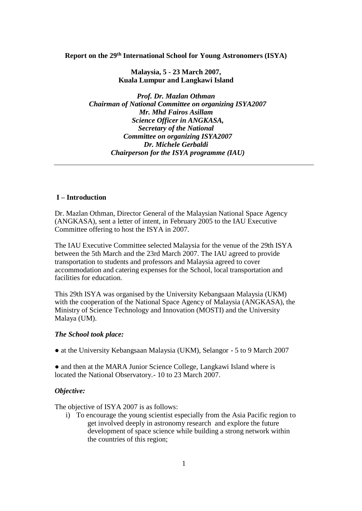### **Report on the 29th International School for Young Astronomers (ISYA)**

**Malaysia, 5 - 23 March 2007, Kuala Lumpur and Langkawi Island**

*Prof. Dr. Mazlan Othman Chairman of National Committee on organizing ISYA2007 Mr. Mhd Fairos Asillam Science Officer in ANGKASA, Secretary of the National Committee on organizing ISYA2007 Dr. Michele Gerbaldi Chairperson for the ISYA programme (IAU)* 

### **I – Introduction**

Dr. Mazlan Othman, Director General of the Malaysian National Space Agency (ANGKASA), sent a letter of intent, in February 2005 to the IAU Executive Committee offering to host the ISYA in 2007.

The IAU Executive Committee selected Malaysia for the venue of the 29th ISYA between the 5th March and the 23rd March 2007. The IAU agreed to provide transportation to students and professors and Malaysia agreed to cover accommodation and catering expenses for the School, local transportation and facilities for education.

This 29th ISYA was organised by the University Kebangsaan Malaysia (UKM) with the cooperation of the National Space Agency of Malaysia (ANGKASA), the Ministry of Science Technology and Innovation (MOSTI) and the University Malaya (UM).

#### *The School took place:*

• at the University Kebangsaan Malaysia (UKM), Selangor - 5 to 9 March 2007

• and then at the MARA Junior Science College, Langkawi Island where is located the National Observatory.- 10 to 23 March 2007.

### *Objective:*

The objective of ISYA 2007 is as follows:

i) To encourage the young scientist especially from the Asia Pacific region to get involved deeply in astronomy research and explore the future development of space science while building a strong network within the countries of this region;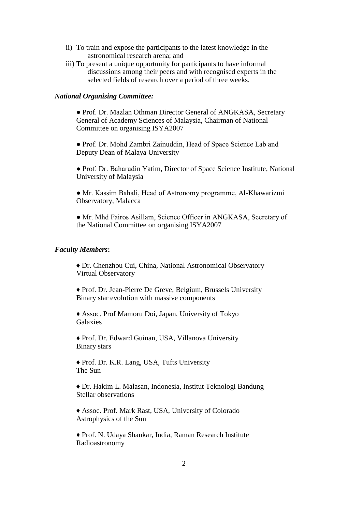- ii) To train and expose the participants to the latest knowledge in the astronomical research arena; and
- iii) To present a unique opportunity for participants to have informal discussions among their peers and with recognised experts in the selected fields of research over a period of three weeks.

### *National Organising Committee:*

● Prof. Dr. Mazlan Othman Director General of ANGKASA, Secretary General of Academy Sciences of Malaysia, Chairman of National Committee on organising ISYA2007

● Prof. Dr. Mohd Zambri Zainuddin, Head of Space Science Lab and Deputy Dean of Malaya University

● Prof. Dr. Baharudin Yatim, Director of Space Science Institute, National University of Malaysia

● Mr. Kassim Bahali, Head of Astronomy programme, Al-Khawarizmi Observatory, Malacca

• Mr. Mhd Fairos Asillam, Science Officer in ANGKASA, Secretary of the National Committee on organising ISYA2007

### *Faculty Members***:**

♦ Dr. Chenzhou Cui, China, National Astronomical Observatory Virtual Observatory

♦ Prof. Dr. Jean-Pierre De Greve, Belgium, Brussels University Binary star evolution with massive components

♦ Assoc. Prof Mamoru Doi, Japan, University of Tokyo Galaxies

♦ Prof. Dr. Edward Guinan, USA, Villanova University Binary stars

♦ Prof. Dr. K.R. Lang, USA, Tufts University The Sun

♦ Dr. Hakim L. Malasan, Indonesia, Institut Teknologi Bandung Stellar observations

♦ Assoc. Prof. Mark Rast, USA, University of Colorado Astrophysics of the Sun

♦ Prof. N. Udaya Shankar, India, Raman Research Institute Radioastronomy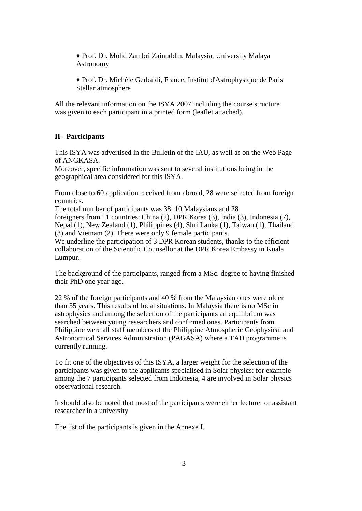♦ Prof. Dr. Mohd Zambri Zainuddin, Malaysia, University Malaya Astronomy

♦ Prof. Dr. Michèle Gerbaldi, France, Institut d'Astrophysique de Paris Stellar atmosphere

All the relevant information on the ISYA 2007 including the course structure was given to each participant in a printed form (leaflet attached).

### **II - Participants**

This ISYA was advertised in the Bulletin of the IAU, as well as on the Web Page of ANGKASA.

Moreover, specific information was sent to several institutions being in the geographical area considered for this ISYA.

From close to 60 application received from abroad, 28 were selected from foreign countries.

The total number of participants was 38: 10 Malaysians and 28 foreigners from 11 countries: China (2), DPR Korea (3), India (3), Indonesia (7), Nepal (1), New Zealand (1), Philippines (4), Shri Lanka (1), Taiwan (1), Thailand (3) and Vietnam (2). There were only 9 female participants.

We underline the participation of 3 DPR Korean students, thanks to the efficient collaboration of the Scientific Counsellor at the DPR Korea Embassy in Kuala Lumpur.

The background of the participants, ranged from a MSc. degree to having finished their PhD one year ago.

22 % of the foreign participants and 40 % from the Malaysian ones were older than 35 years. This results of local situations. In Malaysia there is no MSc in astrophysics and among the selection of the participants an equilibrium was searched between young researchers and confirmed ones. Participants from Philippine were all staff members of the Philippine Atmospheric Geophysical and Astronomical Services Administration (PAGASA) where a TAD programme is currently running.

To fit one of the objectives of this ISYA, a larger weight for the selection of the participants was given to the applicants specialised in Solar physics: for example among the 7 participants selected from Indonesia, 4 are involved in Solar physics observational research.

It should also be noted that most of the participants were either lecturer or assistant researcher in a university

The list of the participants is given in the Annexe I.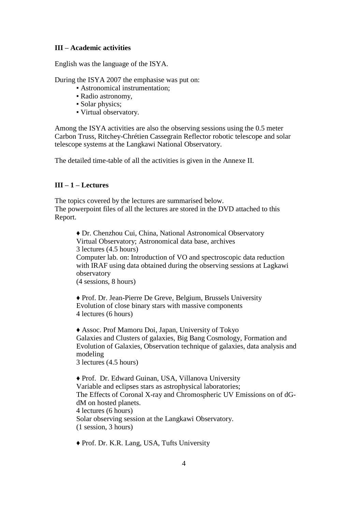### **III – Academic activities**

English was the language of the ISYA.

During the ISYA 2007 the emphasise was put on:

- Astronomical instrumentation;
- Radio astronomy,
- Solar physics;
- Virtual observatory.

Among the ISYA activities are also the observing sessions using the 0.5 meter Carbon Truss, Ritchey-Chrétien Cassegrain Reflector robotic telescope and solar telescope systems at the Langkawi National Observatory.

The detailed time-table of all the activities is given in the Annexe II.

### **III – 1 – Lectures**

The topics covered by the lectures are summarised below. The powerpoint files of all the lectures are stored in the DVD attached to this Report.

♦ Dr. Chenzhou Cui, China, National Astronomical Observatory Virtual Observatory; Astronomical data base, archives 3 lectures (4.5 hours) Computer lab. on: Introduction of VO and spectroscopic data reduction with IRAF using data obtained during the observing sessions at Lagkawi observatory

(4 sessions, 8 hours)

♦ Prof. Dr. Jean-Pierre De Greve, Belgium, Brussels University Evolution of close binary stars with massive components 4 lectures (6 hours)

♦ Assoc. Prof Mamoru Doi, Japan, University of Tokyo Galaxies and Clusters of galaxies, Big Bang Cosmology, Formation and Evolution of Galaxies, Observation technique of galaxies, data analysis and modeling 3 lectures (4.5 hours)

♦ Prof. Dr. Edward Guinan, USA, Villanova University Variable and eclipses stars as astrophysical laboratories; The Effects of Coronal X-ray and Chromospheric UV Emissions on of dGdM on hosted planets. 4 lectures (6 hours) Solar observing session at the Langkawi Observatory. (1 session, 3 hours)

♦ Prof. Dr. K.R. Lang, USA, Tufts University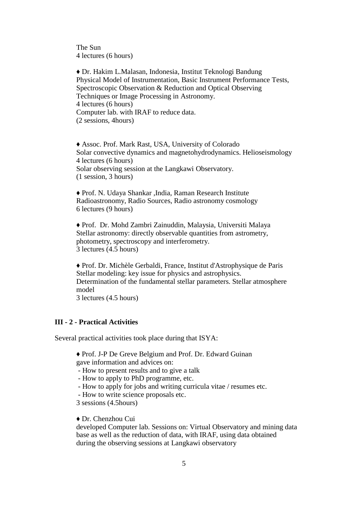The Sun 4 lectures (6 hours)

♦ Dr. Hakim L.Malasan, Indonesia, Institut Teknologi Bandung Physical Model of Instrumentation, Basic Instrument Performance Tests, Spectroscopic Observation & Reduction and Optical Observing Techniques or Image Processing in Astronomy. 4 lectures (6 hours) Computer lab. with IRAF to reduce data. (2 sessions, 4hours)

♦ Assoc. Prof. Mark Rast, USA, University of Colorado Solar convective dynamics and magnetohydrodynamics. Helioseismology 4 lectures (6 hours) Solar observing session at the Langkawi Observatory. (1 session, 3 hours)

♦ Prof. N. Udaya Shankar ,India, Raman Research Institute Radioastronomy, Radio Sources, Radio astronomy cosmology 6 lectures (9 hours)

♦ Prof. Dr. Mohd Zambri Zainuddin, Malaysia, Universiti Malaya Stellar astronomy: directly observable quantities from astrometry, photometry, spectroscopy and interferometry. 3 lectures (4.5 hours)

♦ Prof. Dr. Michèle Gerbaldi, France, Institut d'Astrophysique de Paris Stellar modeling: key issue for physics and astrophysics. Determination of the fundamental stellar parameters. Stellar atmosphere model 3 lectures (4.5 hours)

### **III - 2 - Practical Activities**

Several practical activities took place during that ISYA:

♦ Prof. J-P De Greve Belgium and Prof. Dr. Edward Guinan

gave information and advices on:

- How to present results and to give a talk
- How to apply to PhD programme, etc.
- How to apply for jobs and writing curricula vitae / resumes etc.
- How to write science proposals etc.
- 3 sessions (4.5hours)

#### ♦ Dr. Chenzhou Cui

developed Computer lab. Sessions on: Virtual Observatory and mining data base as well as the reduction of data, with IRAF, using data obtained during the observing sessions at Langkawi observatory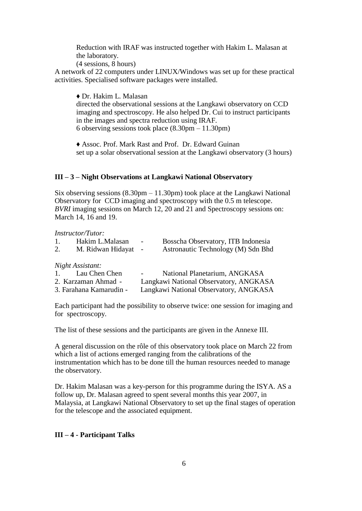Reduction with IRAF was instructed together with Hakim L. Malasan at the laboratory.

(4 sessions, 8 hours)

A network of 22 computers under LINUX/Windows was set up for these practical activities. Specialised software packages were installed.

♦ Dr. Hakim L. Malasan

directed the observational sessions at the Langkawi observatory on CCD imaging and spectroscopy. He also helped Dr. Cui to instruct participants in the images and spectra reduction using IRAF. 6 observing sessions took place (8.30pm – 11.30pm)

♦ Assoc. Prof. Mark Rast and Prof. Dr. Edward Guinan set up a solar observational session at the Langkawi observatory (3 hours)

### **III – 3 – Night Observations at Langkawi National Observatory**

Six observing sessions (8.30pm – 11.30pm) took place at the Langkawi National Observatory for CCD imaging and spectroscopy with the 0.5 m telescope. *BVRI* imaging sessions on March 12, 20 and 21 and Spectroscopy sessions on: March 14, 16 and 19.

*Instructor/Tutor:*

| 1. | Hakim L.Malasan<br>M. Ridwan Hidayat -                                                                                                                                                                                                                                                                      | $\sim$ | Bosscha Observatory, ITB Indonesia<br>Astronautic Technology (M) Sdn Bhd |
|----|-------------------------------------------------------------------------------------------------------------------------------------------------------------------------------------------------------------------------------------------------------------------------------------------------------------|--------|--------------------------------------------------------------------------|
|    | $\mathbf{r}$ , $\mathbf{r}$ , $\mathbf{r}$ , $\mathbf{r}$ , $\mathbf{r}$ , $\mathbf{r}$ , $\mathbf{r}$ , $\mathbf{r}$ , $\mathbf{r}$ , $\mathbf{r}$ , $\mathbf{r}$ , $\mathbf{r}$ , $\mathbf{r}$ , $\mathbf{r}$ , $\mathbf{r}$ , $\mathbf{r}$ , $\mathbf{r}$ , $\mathbf{r}$ , $\mathbf{r}$ , $\mathbf{r}$ , |        |                                                                          |

*Night Assistant:*

| Lau Chen Chen<br>$\mathbf{1}$ . | National Planetarium, ANGKASA<br>$\sim$ 100 $\mu$ |
|---------------------------------|---------------------------------------------------|
| 2. Karzaman Ahmad -             | Langkawi National Observatory, ANGKASA            |
| 3. Farahana Kamarudin -         | Langkawi National Observatory, ANGKASA            |

Each participant had the possibility to observe twice: one session for imaging and for spectroscopy.

The list of these sessions and the participants are given in the Annexe III.

A general discussion on the rôle of this observatory took place on March 22 from which a list of actions emerged ranging from the calibrations of the instrumentation which has to be done till the human resources needed to manage the observatory.

Dr. Hakim Malasan was a key-person for this programme during the ISYA. AS a follow up, Dr. Malasan agreed to spent several months this year 2007, in Malaysia, at Langkawi National Observatory to set up the final stages of operation for the telescope and the associated equipment.

### **III – 4 - Participant Talks**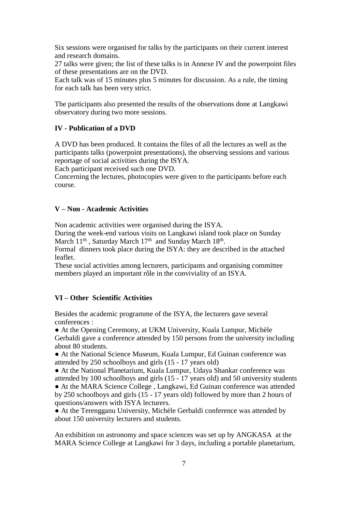Six sessions were organised for talks by the participants on their current interest and research domains.

27 talks were given; the list of these talks is in Annexe IV and the powerpoint files of these presentations are on the DVD.

Each talk was of 15 minutes plus 5 minutes for discussion. As a rule, the timing for each talk has been very strict.

The participants also presented the results of the observations done at Langkawi observatory during two more sessions.

### **IV - Publication of a DVD**

A DVD has been produced. It contains the files of all the lectures as well as the participants talks (powerpoint presentations), the observing sessions and various reportage of social activities during the ISYA.

Each participant received such one DVD.

Concerning the lectures, photocopies were given to the participants before each course.

### **V – Non - Academic Activities**

Non academic activities were organised during the ISYA.

During the week-end various visits on Langkawi island took place on Sunday March 11<sup>th</sup>, Saturday March 17<sup>th</sup> and Sunday March 18<sup>th</sup>.

Formal dinners took place during the ISYA: they are described in the attached leaflet.

These social activities among lecturers, participants and organising committee members played an important rôle in the conviviality of an ISYA.

### **VI – Other Scientific Activities**

Besides the academic programme of the ISYA, the lecturers gave several conferences :

● At the Opening Ceremony, at UKM University, Kuala Lumpur, Michèle Gerbaldi gave a conference attended by 150 persons from the university including about 80 students.

● At the National Science Museum, Kuala Lumpur, Ed Guinan conference was attended by 250 schoolboys and girls (15 - 17 years old)

● At the National Planetarium, Kuala Lumpur, Udaya Shankar conference was attended by 100 schoolboys and girls (15 - 17 years old) and 50 university students

● At the MARA Science College , Langkawi, Ed Guinan conference was attended by 250 schoolboys and girls (15 - 17 years old) followed by more than 2 hours of questions/answers with ISYA lecturers.

• At the Terengganu University, Michèle Gerbaldi conference was attended by about 150 university lecturers and students.

An exhibition on astronomy and space sciences was set up by ANGKASA at the MARA Science College at Langkawi for 3 days, including a portable planetarium,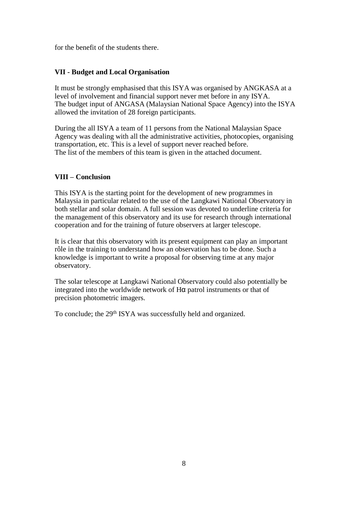for the benefit of the students there.

### **VII - Budget and Local Organisation**

It must be strongly emphasised that this ISYA was organised by ANGKASA at a level of involvement and financial support never met before in any ISYA. The budget input of ANGASA (Malaysian National Space Agency) into the ISYA allowed the invitation of 28 foreign participants.

During the all ISYA a team of 11 persons from the National Malaysian Space Agency was dealing with all the administrative activities, photocopies, organising transportation, etc. This is a level of support never reached before. The list of the members of this team is given in the attached document.

### **VIII – Conclusion**

This ISYA is the starting point for the development of new programmes in Malaysia in particular related to the use of the Langkawi National Observatory in both stellar and solar domain. A full session was devoted to underline criteria for the management of this observatory and its use for research through international cooperation and for the training of future observers at larger telescope.

It is clear that this observatory with its present equipment can play an important rôle in the training to understand how an observation has to be done. Such a knowledge is important to write a proposal for observing time at any major observatory.

The solar telescope at Langkawi National Observatory could also potentially be integrated into the worldwide network of Hα patrol instruments or that of precision photometric imagers.

To conclude; the 29th ISYA was successfully held and organized.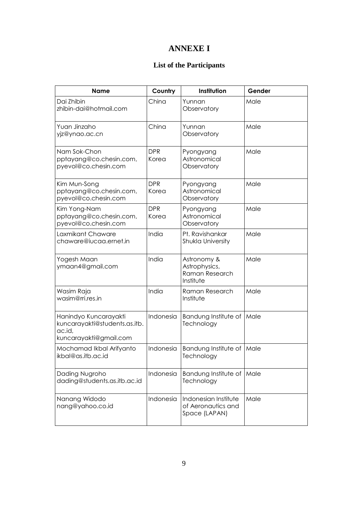## **ANNEXE I**

## **List of the Participants**

| <b>Name</b>                                                                                | Country             | Institution                                                 | Gender |
|--------------------------------------------------------------------------------------------|---------------------|-------------------------------------------------------------|--------|
| Dai Zhibin<br>zhibin-dai@hotmail.com                                                       | China               | Yunnan<br>Observatory                                       | Male   |
| Yuan Jinzaho<br>yjz@ynao.ac.cn                                                             | China               | Yunnan<br>Observatory                                       | Male   |
| Nam Sok-Chon<br>pptayang@co.chesin.com,<br>pyevol@co.chesin.com                            | <b>DPR</b><br>Korea | Pyongyang<br>Astronomical<br>Observatory                    | Male   |
| Kim Mun-Song<br>pptayang@co.chesin.com,<br>pyevol@co.chesin.com                            | <b>DPR</b><br>Korea | Pyongyang<br>Astronomical<br>Observatory                    | Male   |
| Kim Yong-Nam<br>pptayang@co.chesin.com,<br>pyevol@co.chesin.com                            | <b>DPR</b><br>Korea | Pyongyang<br>Astronomical<br>Observatory                    | Male   |
| Laxmikant Chaware<br>chaware@iucaa.ernet.in                                                | India               | Pt. Ravishankar<br>Shukla University                        | Male   |
| Yogesh Maan<br>ymaan4@gmail.com                                                            | India               | Astronomy &<br>Astrophysics,<br>Raman Research<br>Institute | Male   |
| Wasim Raja<br>wasim@rri.res.in                                                             | India               | Raman Research<br>Institute                                 | Male   |
| Hanindyo Kuncarayakti<br>kuncarayakti@students.as.itb.<br>ac.id,<br>kuncarayakti@gmail.com | Indonesia           | Bandung Institute of<br>Technology                          | Male   |
| Mochamad Ikbal Arifyanto<br>ikbal@as.itb.ac.id                                             | Indonesia           | Bandung Institute of<br>Technology                          | Male   |
| Dading Nugroho<br>dading@students.as.itb.ac.id                                             | Indonesia           | Bandung Institute of<br>Technology                          | Male   |
| Nanang Widodo<br>nang@yahoo.co.id                                                          | Indonesia           | Indonesian Institute<br>of Aeronautics and<br>Space (LAPAN) | Male   |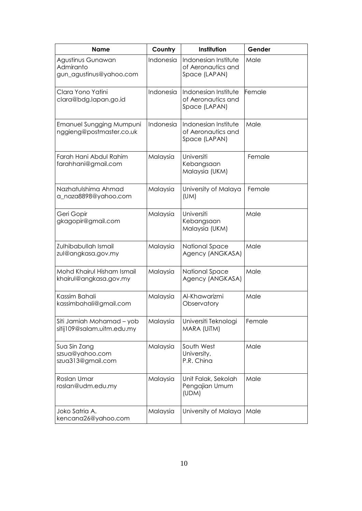| <b>Name</b>                                                 | Country   | Institution                                                 | Gender |
|-------------------------------------------------------------|-----------|-------------------------------------------------------------|--------|
| Agustinus Gunawan<br>Admiranto<br>gun_agustinus@yahoo.com   | Indonesia | Indonesian Institute<br>of Aeronautics and<br>Space (LAPAN) | Male   |
| Clara Yono Yatini<br>clara@bdg.lapan.go.id                  | Indonesia | Indonesian Institute<br>of Aeronautics and<br>Space (LAPAN) | Female |
| <b>Emanuel Sungging Mumpuni</b><br>nggieng@postmaster.co.uk | Indonesia | Indonesian Institute<br>of Aeronautics and<br>Space (LAPAN) | Male   |
| Farah Hani Abdul Rahim<br>farahhani@gmail.com               | Malaysia  | Universiti<br>Kebangsaan<br>Malaysia (UKM)                  | Female |
| Nazhatulshima Ahmad<br>a_naza8898@yahoo.com                 | Malaysia  | University of Malaya<br>(UM)                                | Female |
| Geri Gopir<br>gkagopir@gmail.com                            | Malaysia  | Universiti<br>Kebangsaan<br>Malaysia (UKM)                  | Male   |
| Zulhibabullah Ismail<br>zul@angkasa.gov.my                  | Malaysia  | National Space<br>Agency (ANGKASA)                          | Male   |
| Mohd Khairul Hisham Ismail<br>khairul@angkasa.gov.my        | Malaysia  | National Space<br>Agency (ANGKASA)                          | Male   |
| Kassim Bahali<br>kassimbahali@gmail.com                     | Malaysia  | Al-Khawarizmi<br>Observatory                                | Male   |
| Siti Jamiah Mohamad - yob<br>sitij109@salam.uitm.edu.my     | Malaysia  | Universiti Teknologi<br>MARA (UITM)                         | Female |
| Sua Sin Zang<br>szsua@yahoo.com<br>szua313@gmail.com        | Malaysia  | South West<br>University,<br>P.R. China                     | Male   |
| Roslan Umar<br>roslan@udm.edu.my                            | Malaysia  | Unit Falak, Sekolah<br>Pengajian Umum<br>(UDM)              | Male   |
| Joko Satria A.<br>kencana26@yahoo.com                       | Malaysia  | University of Malaya                                        | Male   |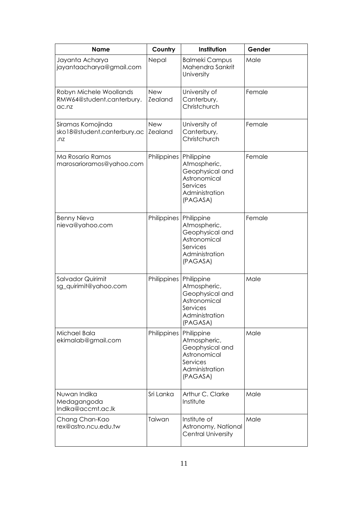| <b>Name</b>                                                   | Country               | Institution                                                                                             | Gender |
|---------------------------------------------------------------|-----------------------|---------------------------------------------------------------------------------------------------------|--------|
| Jayanta Acharya<br>jayantaacharya@gmail.com                   | Nepal                 | <b>Balmeki Campus</b><br>Mahendra Sankrit<br>University                                                 | Male   |
| Robyn Michele Woollands<br>RMW64@student.canterbury.<br>ac.nz | <b>New</b><br>Zealand | University of<br>Canterbury,<br>Christchurch                                                            | Female |
| Siramas Komojinda<br>sko18@student.canterbury.ac<br>.nz       | <b>New</b><br>Zealand | University of<br>Canterbury,<br>Christchurch                                                            | Female |
| Ma Rosario Ramos<br>marosarioramos@yahoo.com                  | Philippines           | Philippine<br>Atmospheric,<br>Geophysical and<br>Astronomical<br>Services<br>Administration<br>(PAGASA) | Female |
| <b>Benny Nieva</b><br>nieva@yahoo.com                         | Philippines           | Philippine<br>Atmospheric,<br>Geophysical and<br>Astronomical<br>Services<br>Administration<br>(PAGASA) | Female |
| Salvador Quirimit<br>sg_quirimit@yahoo.com                    | Philippines           | Philippine<br>Atmospheric,<br>Geophysical and<br>Astronomical<br>Services<br>Administration<br>(PAGASA) | Male   |
| Michael Bala<br>ekimalab@gmail.com                            | Philippines           | Philippine<br>Atmospheric,<br>Geophysical and<br>Astronomical<br>Services<br>Administration<br>(PAGASA) | Male   |
| Nuwan Indika<br>Medagangoda<br>Indika@accmt.ac.lk             | Sri Lanka             | Arthur C. Clarke<br>Institute                                                                           | Male   |
| Chang Chan-Kao<br>rex@astro.ncu.edu.tw                        | Taiwan                | Institute of<br>Astronomy, National<br><b>Central University</b>                                        | Male   |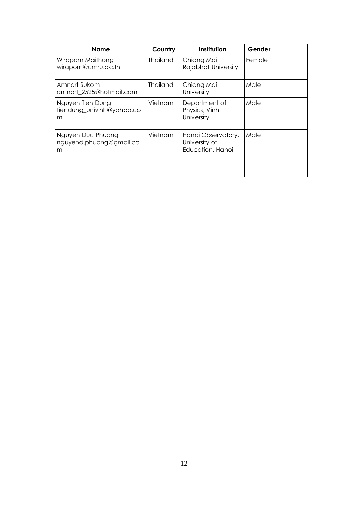| Name                                               | Country         | Institution                                             | Gender |
|----------------------------------------------------|-----------------|---------------------------------------------------------|--------|
| Wiraporn Maithong<br>wiraporn@cmru.ac.th           | <b>Thailand</b> | Chiang Mai<br>Rajabhat University                       | Female |
| Amnart Sukom<br>amnart 2525@hotmail.com            | <b>Thailand</b> | Chiang Mai<br>University                                | Male   |
| Nguyen Tien Dung<br>tiendung univinh@yahoo.co<br>m | Vietnam         | Department of<br>Physics, Vinh<br>University            | Male   |
| Nguyen Duc Phuong<br>nguyend.phuong@gmail.co<br>m  | Vietnam         | Hanoi Observatory,<br>University of<br>Education, Hanoi | Male   |
|                                                    |                 |                                                         |        |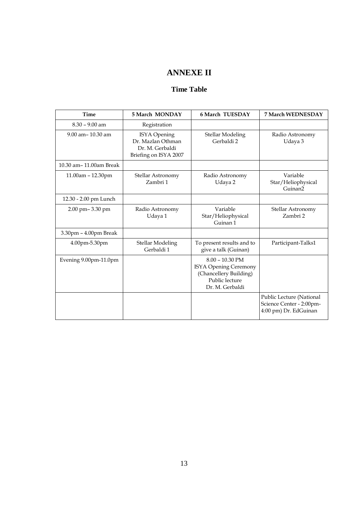# **ANNEXE II**

### **Time Table**

| Time                   | 5 March MONDAY                                                                | 6 March TUESDAY                                                                                           | 7 March WEDNESDAY                                                             |
|------------------------|-------------------------------------------------------------------------------|-----------------------------------------------------------------------------------------------------------|-------------------------------------------------------------------------------|
| $8.30 - 9.00$ am       | Registration                                                                  |                                                                                                           |                                                                               |
| $9.00$ am $- 10.30$ am | ISYA Opening<br>Dr. Mazlan Othman<br>Dr. M. Gerbaldi<br>Briefing on ISYA 2007 | Stellar Modeling<br>Gerbaldi 2                                                                            | Radio Astronomy<br>Udaya 3                                                    |
| 10.30 am-11.00am Break |                                                                               |                                                                                                           |                                                                               |
| 11.00am - 12.30pm      | Stellar Astronomy<br>Zambri 1                                                 | Radio Astronomy<br>Udaya 2                                                                                | Variable<br>Star/Heliophysical<br>Guinan <sub>2</sub>                         |
| 12.30 - 2.00 pm Lunch  |                                                                               |                                                                                                           |                                                                               |
| 2.00 pm-3.30 pm        | Radio Astronomy<br>Udaya 1                                                    | Variable<br>Star/Heliophysical<br>Guinan 1                                                                | Stellar Astronomy<br>Zambri 2                                                 |
| 3.30pm - 4.00pm Break  |                                                                               |                                                                                                           |                                                                               |
| 4.00pm-5.30pm          | <b>Stellar Modeling</b><br>Gerbaldi 1                                         | To present results and to<br>give a talk (Guinan)                                                         | Participant-Talks1                                                            |
| Evening 9.00pm-11.0pm  |                                                                               | $8.00 - 10.30$ PM<br>ISYA Opening Ceremony<br>(Chancellery Building)<br>Public lecture<br>Dr. M. Gerbaldi |                                                                               |
|                        |                                                                               |                                                                                                           | Public Lecture (National<br>Science Center - 2:00pm-<br>4:00 pm) Dr. EdGuinan |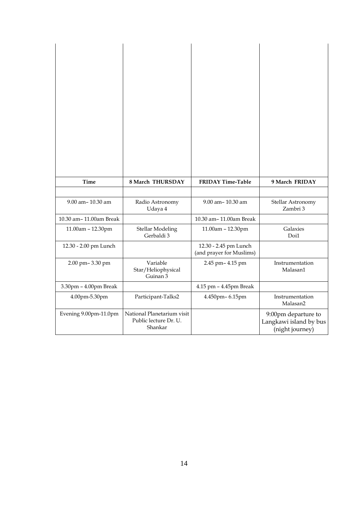| <b>Time</b>            | 8 March THURSDAY                                               | <b>FRIDAY Time-Table</b>                          | 9 March FRIDAY                                                   |
|------------------------|----------------------------------------------------------------|---------------------------------------------------|------------------------------------------------------------------|
|                        |                                                                |                                                   |                                                                  |
| 9.00 am-10.30 am       | Radio Astronomy<br>Udaya 4                                     | 9.00 am-10.30 am                                  | Stellar Astronomy<br>Zambri 3                                    |
| 10.30 am-11.00am Break |                                                                | 10.30 am-11.00am Break                            |                                                                  |
| 11.00am - 12.30pm      | <b>Stellar Modeling</b><br>Gerbaldi 3                          | 11.00am - 12.30pm                                 | Galaxies<br>Doi1                                                 |
| 12.30 - 2.00 pm Lunch  |                                                                | 12.30 - 2.45 pm Lunch<br>(and prayer for Muslims) |                                                                  |
| 2.00 pm-3.30 pm        | Variable<br>Star/Heliophysical<br>Guinan 3                     | 2.45 pm- 4.15 pm                                  | Instrumentation<br>Malasan1                                      |
| 3.30pm - 4.00pm Break  |                                                                | 4.15 pm - 4.45pm Break                            |                                                                  |
| 4.00pm-5.30pm          | Participant-Talks2                                             | 4.450pm-6.15pm                                    | Instrumentation<br>Malasan2                                      |
| Evening 9.00pm-11.0pm  | National Planetarium visit<br>Public lecture Dr. U.<br>Shankar |                                                   | 9:00pm departure to<br>Langkawi island by bus<br>(night journey) |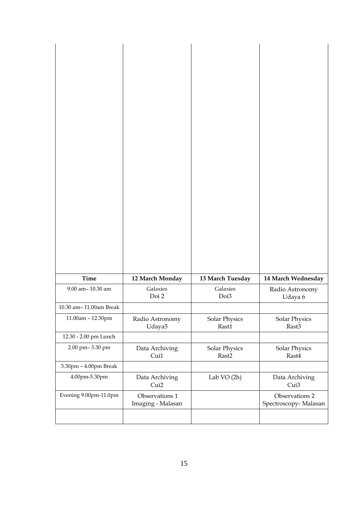| <b>Time</b>                                 | 12 March Monday                     | 13 March Tuesday              | 14 March Wednesday                     |
|---------------------------------------------|-------------------------------------|-------------------------------|----------------------------------------|
| 9.00 am-10.30 am                            | Galaxies<br>Doi 2                   | Galaxies<br>Doi3              | Radio Astronomy<br>Udaya 6             |
| 10.30 am-11.00am Break                      |                                     |                               |                                        |
| 11.00am - 12.30pm                           | Radio Astronomy<br>Udaya5           | Solar Physics<br>Rast1        | Solar Physics<br>Rast3                 |
| 12.30 - 2.00 pm Lunch                       |                                     |                               |                                        |
| 2.00 pm-3.30 pm                             | Data Archiving<br>Cui1              | <b>Solar Physics</b><br>Rast2 | <b>Solar Physics</b><br>Rast4          |
| $3.30\mathrm{pm}$ – $4.00\mathrm{pm}$ Break |                                     |                               |                                        |
| 4.00pm-5.30pm                               | Data Archiving<br>Cui2              | Lab VO (2h)                   | Data Archiving<br>Cui3                 |
| Evening 9.00pm-11.0pm                       | Observations 1<br>Imaging - Malasan |                               | Observations 2<br>Spectroscopy-Malasan |
|                                             |                                     |                               |                                        |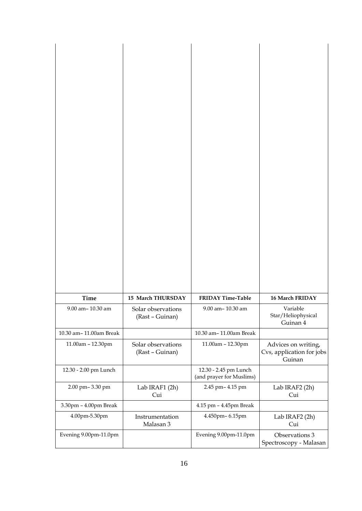| <b>Time</b>            | 15 March THURSDAY                     | <b>FRIDAY Time-Table</b>                          | 16 March FRIDAY                                            |
|------------------------|---------------------------------------|---------------------------------------------------|------------------------------------------------------------|
| 9.00 am-10.30 am       | Solar observations<br>(Rast - Guinan) | 9.00 am-10.30 am                                  | Variable<br>Star/Heliophysical<br>Guinan 4                 |
| 10.30 am-11.00am Break |                                       | 10.30 am-11.00am Break                            |                                                            |
| 11.00am - 12.30pm      | Solar observations<br>(Rast - Guinan) | 11.00am - 12.30pm                                 | Advices on writing,<br>Cvs, application for jobs<br>Guinan |
| 12.30 - 2.00 pm Lunch  |                                       | 12.30 - 2.45 pm Lunch<br>(and prayer for Muslims) |                                                            |
| 2.00 pm-3.30 pm        | Lab IRAF1 (2h)<br>Cui                 | 2.45 pm-4.15 pm                                   | Lab IRAF2 (2h)<br>Cui                                      |
| 3.30pm - 4.00pm Break  |                                       | 4.15 pm - 4.45pm Break                            |                                                            |
| 4.00pm-5.30pm          | Instrumentation<br>Malasan 3          | 4.450pm-6.15pm                                    | Lab IRAF2 (2h)<br>Cui                                      |
| Evening 9.00pm-11.0pm  |                                       | Evening 9.00pm-11.0pm                             | Observations 3<br>Spectroscopy - Malasan                   |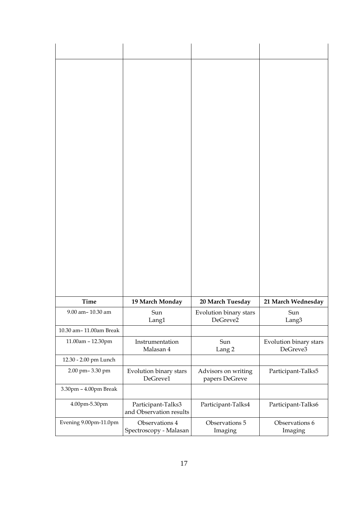| <b>Time</b>                                | 19 March Monday                               | 20 March Tuesday                      | 21 March Wednesday                 |
|--------------------------------------------|-----------------------------------------------|---------------------------------------|------------------------------------|
| 9.00 am-10.30 am<br>10.30 am-11.00am Break | Sun<br>Lang1                                  | Evolution binary stars<br>DeGreve2    | Sun<br>Lang3                       |
| 11.00am - 12.30pm                          | Instrumentation<br>Malasan 4                  | Sun<br>Lang <sub>2</sub>              | Evolution binary stars<br>DeGreve3 |
| 12.30 - 2.00 pm Lunch                      |                                               |                                       |                                    |
| 2.00 pm-3.30 pm                            | Evolution binary stars<br>DeGreve1            | Advisors on writing<br>papers DeGreve | Participant-Talks5                 |
| 3.30pm - 4.00pm Break                      |                                               |                                       |                                    |
| 4.00pm-5.30pm                              | Participant-Talks3<br>and Observation results | Participant-Talks4                    | Participant-Talks6                 |
| Evening 9.00pm-11.0pm                      | Observations 4<br>Spectroscopy - Malasan      | Observations 5<br>Imaging             | Observations 6<br>Imaging          |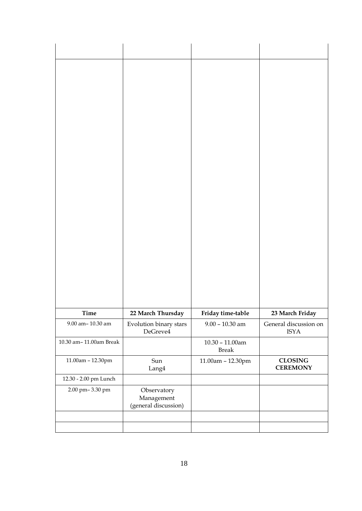| Time                   | 22 March Thursday                                 | Friday time-table                  | 23 March Friday                      |
|------------------------|---------------------------------------------------|------------------------------------|--------------------------------------|
| 9.00 am-10.30 am       | Evolution binary stars<br>DeGreve4                | $9.00 - 10.30$ am                  | General discussion on<br><b>ISYA</b> |
| 10.30 am-11.00am Break |                                                   | $10.30 - 11.00$ am<br><b>Break</b> |                                      |
| 11.00am - 12.30pm      | Sun<br>Lang4                                      | 11.00am - 12.30pm                  | <b>CLOSING</b><br><b>CEREMONY</b>    |
| 12.30 - 2.00 pm Lunch  |                                                   |                                    |                                      |
| 2.00 pm-3.30 pm        | Observatory<br>Management<br>(general discussion) |                                    |                                      |
|                        |                                                   |                                    |                                      |
|                        |                                                   |                                    |                                      |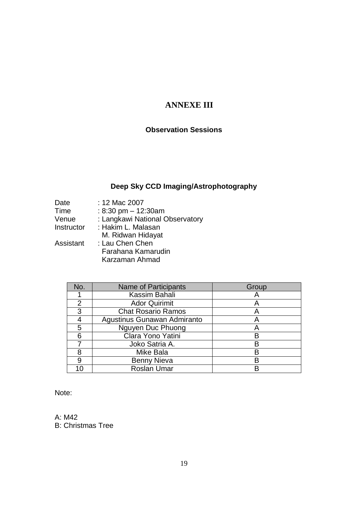## **ANNEXE III**

## **Observation Sessions**

# **Deep Sky CCD Imaging/Astrophotography**

| : 12 Mac 2007                   |
|---------------------------------|
| : 8:30 pm $-$ 12:30am           |
| : Langkawi National Observatory |
| : Hakim L. Malasan              |
| M. Ridwan Hidayat               |
| : Lau Chen Chen                 |
| Farahana Kamarudin              |
| Karzaman Ahmad                  |
|                                 |

| No. | <b>Name of Participants</b> | Group |
|-----|-----------------------------|-------|
|     | Kassim Bahali               |       |
| 2   | <b>Ador Quirimit</b>        |       |
| 3   | <b>Chat Rosario Ramos</b>   |       |
|     | Agustinus Gunawan Admiranto |       |
| 5   | Nguyen Duc Phuong           |       |
| 6   | Clara Yono Yatini           |       |
|     | Joko Satria A.              | R     |
|     | Mike Bala                   | R     |
|     | <b>Benny Nieva</b>          | R     |
|     | <b>Roslan Umar</b>          |       |

Note:

A: M42 B: Christmas Tree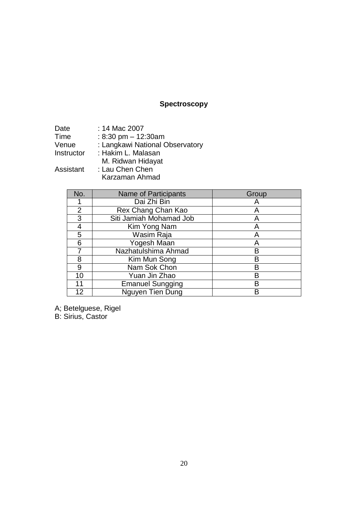# **Spectroscopy**

| Date       | : 14 Mac 2007                   |
|------------|---------------------------------|
| Time       | : 8:30 pm $-$ 12:30am           |
| Venue      | : Langkawi National Observatory |
| Instructor | : Hakim L. Malasan              |
|            | M. Ridwan Hidayat               |
| Assistant  | : Lau Chen Chen                 |

Karzaman Ahmad

| No. | <b>Name of Participants</b> | Group |
|-----|-----------------------------|-------|
|     | Dai Zhi Bin                 |       |
| 2   | Rex Chang Chan Kao          |       |
| 3   | Siti Jamiah Mohamad Job     |       |
| 4   | Kim Yong Nam                |       |
| 5   | Wasim Raja                  |       |
| 6   | Yogesh Maan                 | Α     |
|     | Nazhatulshima Ahmad         | B     |
| 8   | Kim Mun Song                | в     |
| 9   | Nam Sok Chon                | в     |
| 10  | Yuan Jin Zhao               | в     |
| 11  | <b>Emanuel Sungging</b>     | B     |
| 12  | Nguyen Tien Dung            |       |

A; Betelguese, Rigel

B: Sirius, Castor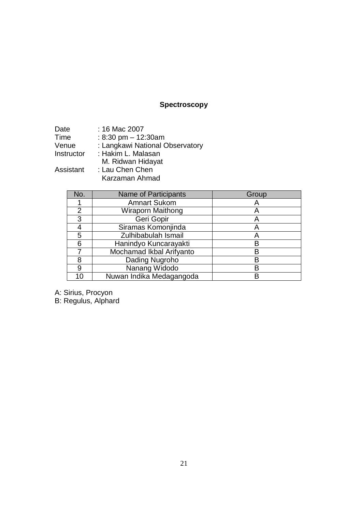# **Spectroscopy**

| Date       | : 16 Mac 2007                   |
|------------|---------------------------------|
| Time       | : 8:30 pm $-$ 12:30am           |
| Venue      | : Langkawi National Observatory |
| Instructor | : Hakim L. Malasan              |
|            | M. Ridwan Hidayat               |
| Assistant  | : Lau Chen Chen                 |

Karzaman Ahmad

| No. | <b>Name of Participants</b> | Group |
|-----|-----------------------------|-------|
|     | <b>Amnart Sukom</b>         |       |
| 2   | Wiraporn Maithong           | A     |
| 3   | Geri Gopir                  | Α     |
|     | Siramas Komonjinda          |       |
| 5   | Zulhibabulah Ismail         |       |
| 6   | Hanindyo Kuncarayakti       |       |
|     | Mochamad Ikbal Arifyanto    |       |
| 8   | Dading Nugroho              |       |
| 9   | Nanang Widodo               |       |
|     | Nuwan Indika Medagangoda    |       |

A: Sirius, Procyon

B: Regulus, Alphard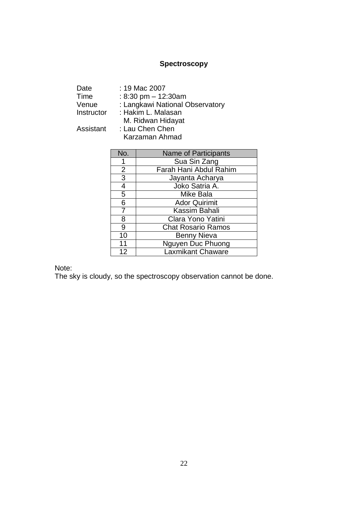## **Spectroscopy**

| Date       | : 19 Mac 2007                   |
|------------|---------------------------------|
| Time       | : 8:30 pm $-$ 12:30am           |
| Venue      | : Langkawi National Observatory |
| Instructor | : Hakim L. Malasan              |
|            | M. Ridwan Hidayat               |
| Assistant  | : Lau Chen Chen                 |
|            | Karzaman Ahmad                  |

| No.                      | <b>Name of Participants</b> |
|--------------------------|-----------------------------|
|                          | Sua Sin Zang                |
| $\overline{2}$           | Farah Hani Abdul Rahim      |
| 3                        | Jayanta Acharya             |
| $\overline{\mathcal{A}}$ | Joko Satria A.              |
| $\overline{5}$           | Mike Bala                   |
| 6                        | <b>Ador Quirimit</b>        |
| 7                        | Kassim Bahali               |
| 8                        | Clara Yono Yatini           |
| 9                        | <b>Chat Rosario Ramos</b>   |
| 10                       | <b>Benny Nieva</b>          |
| 11                       | Nguyen Duc Phuong           |
| 12                       | <b>Laxmikant Chaware</b>    |

Note:

The sky is cloudy, so the spectroscopy observation cannot be done.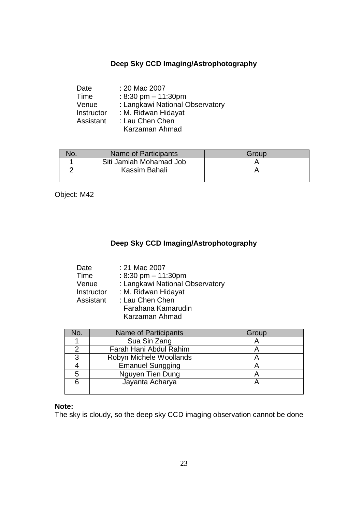### **Deep Sky CCD Imaging/Astrophotography**

| Date       | : 20 Mac 2007                   |
|------------|---------------------------------|
| Time       | : 8:30 pm $-$ 11:30pm           |
| Venue      | : Langkawi National Observatory |
| Instructor | : M. Ridwan Hidayat             |
| Assistant  | : Lau Chen Chen                 |
|            | Karzaman Ahmad                  |

| ١O. | Name of Participants    | Group |
|-----|-------------------------|-------|
|     | Siti Jamiah Mohamad Job |       |
|     | Kassim Bahali           |       |
|     |                         |       |

Object: M42

### **Deep Sky CCD Imaging/Astrophotography**

| Date       | : 21 Mac 2007                         |
|------------|---------------------------------------|
| Time       | : $8:30 \text{ pm} - 11:30 \text{pm}$ |
| Venue      | : Langkawi National Observatory       |
| Instructor | : M. Ridwan Hidayat                   |
| Assistant  | : Lau Chen Chen                       |
|            | Farahana Kamarudin                    |
|            | Karzaman Ahmad                        |

| No. | <b>Name of Participants</b> | Group |
|-----|-----------------------------|-------|
|     | Sua Sin Zang                |       |
|     | Farah Hani Abdul Rahim      |       |
| 3   | Robyn Michele Woollands     |       |
|     | <b>Emanuel Sungging</b>     |       |
|     | Nguyen Tien Dung            |       |
|     | Jayanta Acharya             |       |
|     |                             |       |

### **Note:**

The sky is cloudy, so the deep sky CCD imaging observation cannot be done